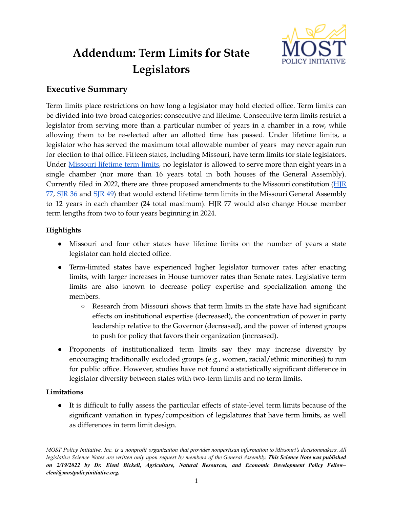

# **Addendum: Term Limits for State Legislators**

## **Executive Summary**

Term limits place restrictions on how long a legislator may hold elected office. Term limits can be divided into two broad categories: consecutive and lifetime. Consecutive term limits restrict a legislator from serving more than a particular number of years in a chamber in a row, while allowing them to be re-elected after an allotted time has passed. Under lifetime limits, a legislator who has served the maximum total allowable number of years may never again run for election to that office. Fifteen states, including Missouri, have term limits for state legislators. Under [Missouri](https://law.justia.com/constitution/missouri/article-iii/section-8/#:~:text=Pro%20Membership-,Missouri%20Constitution,for%20members%20of%20General%20Assembly.&text=No%20one%20shall%20be%20elected,houses%20of%20the%20General%20Assembly.) lifetime term limits, no legislator is allowed to serve more than eight years in a single chamber (nor more than 16 years total in both houses of the General Assembly). Currently filed in 2022, there are three proposed amendments to the Missouri constitution ([HJR](https://house.mo.gov/Bill.aspx?bill=HJR77&year=2022&code=R)  $77$ , [SJR](https://www.senate.mo.gov/22info/BTS_Web/Bill.aspx?SessionType=R&BillID=75203625) 36 and SJR 49) that would extend lifetime term limits in the Missouri General Assembly to 12 years in each chamber (24 total maximum). HJR 77 would also change House member term lengths from two to four years beginning in 2024.

## **Highlights**

- Missouri and four other states have lifetime limits on the number of years a state legislator can hold elected office.
- Term-limited states have experienced higher legislator turnover rates after enacting limits, with larger increases in House turnover rates than Senate rates. Legislative term limits are also known to decrease policy expertise and specialization among the members.
	- Research from Missouri shows that term limits in the state have had significant effects on institutional expertise (decreased), the concentration of power in party leadership relative to the Governor (decreased), and the power of interest groups to push for policy that favors their organization (increased).
- Proponents of institutionalized term limits say they may increase diversity by encouraging traditionally excluded groups (e.g., women, racial/ethnic minorities) to run for public office. However, studies have not found a statistically significant difference in legislator diversity between states with two-term limits and no term limits.

#### **Limitations**

● It is difficult to fully assess the particular effects of state-level term limits because of the significant variation in types/composition of legislatures that have term limits, as well as differences in term limit design.

MOST Policy Initiative, Inc. is a nonprofit organization that provides nonpartisan information to Missouri's decisionmakers. All legislative Science Notes are written only upon request by members of the General Assembly. This Science Note was published *on 2/19/2022 by Dr. Eleni Bickell, Agriculture, Natural Resources, and Economic Development Policy Fellow– eleni@mostpolicyinitiative.org.*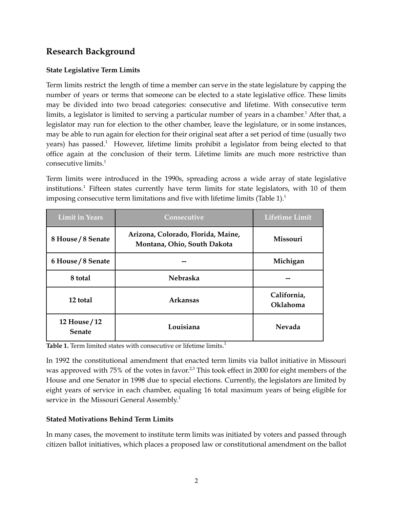# **Research Background**

## **State Legislative Term Limits**

Term limits restrict the length of time a member can serve in the state legislature by capping the number of years or terms that someone can be elected to a state legislative office. These limits may be divided into two broad categories: consecutive and lifetime. With consecutive term limits, a legislator is limited to serving a particular number of years in a chamber. <sup>1</sup> After that, a legislator may run for election to the other chamber, leave the legislature, or in some instances, may be able to run again for election for their original seat after a set period of time (usually two years) has passed. <sup>1</sup> However, lifetime limits prohibit a legislator from being elected to that office again at the conclusion of their term. Lifetime limits are much more restrictive than consecutive limits. 1

Term limits were introduced in the 1990s, spreading across a wide array of state legislative institutions. <sup>1</sup> Fifteen states currently have term limits for state legislators, with 10 of them imposing consecutive term limitations and five with lifetime limits (Table  $1$ ).<sup>1</sup>

| <b>Limit in Years</b>                 | Consecutive                                                       | <b>Lifetime Limit</b>   |
|---------------------------------------|-------------------------------------------------------------------|-------------------------|
| 8 House / 8 Senate                    | Arizona, Colorado, Florida, Maine,<br>Montana, Ohio, South Dakota | <b>Missouri</b>         |
| 6 House / 8 Senate                    |                                                                   | Michigan                |
| 8 total                               | <b>Nebraska</b>                                                   |                         |
| 12 total                              | <b>Arkansas</b>                                                   | California,<br>Oklahoma |
| <b>12 House / 12</b><br><b>Senate</b> | Louisiana                                                         | <b>Nevada</b>           |

**Table 1.** Term limited states with consecutive or lifetime limits. 1

In 1992 the constitutional amendment that enacted term limits via ballot initiative in Missouri was approved with 75% of the votes in favor.<sup>2,3</sup> This took effect in 2000 for eight members of the House and one Senator in 1998 due to special elections. Currently, the legislators are limited by eight years of service in each chamber, equaling 16 total maximum years of being eligible for service in the Missouri General Assembly.<sup>1</sup>

#### **Stated Motivations Behind Term Limits**

In many cases, the movement to institute term limits was initiated by voters and passed through citizen ballot initiatives, which places a proposed law or constitutional amendment on the ballot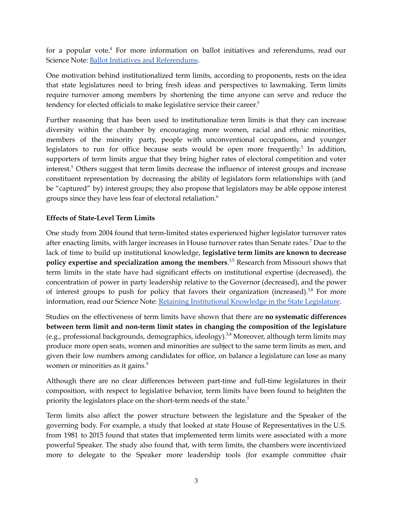for a popular vote. <sup>4</sup> For more information on ballot initiatives and referendums, read our Science Note: Ballot Initiatives and [Referendums](https://mostpolicyinitiative.org/science-note/ballot-initiatives-and-referendums/).

One motivation behind institutionalized term limits, according to proponents, rests on the idea that state legislatures need to bring fresh ideas and perspectives to lawmaking. Term limits require turnover among members by shortening the time anyone can serve and reduce the tendency for elected officials to make legislative service their career. 5

Further reasoning that has been used to institutionalize term limits is that they can increase diversity within the chamber by encouraging more women, racial and ethnic minorities, members of the minority party, people with unconventional occupations, and younger legislators to run for office because seats would be open more frequently.<sup>5</sup> In addition, supporters of term limits argue that they bring higher rates of electoral competition and voter interest. <sup>5</sup> Others suggest that term limits decrease the influence of interest groups and increase constituent representation by decreasing the ability of legislators form relationships with (and be "captured" by) interest groups; they also propose that legislators may be able oppose interest groups since they have less fear of electoral retaliation. 6

## **Effects of State-Level Term Limits**

One study from 2004 found that term-limited states experienced higher legislator turnover rates after enacting limits, with larger increases in House turnover rates than Senate rates. <sup>7</sup> Due to the lack of time to build up institutional knowledge, **legislative term limits are known to decrease policy expertise and specialization among the members**. 3,5 Research from Missouri shows that term limits in the state have had significant effects on institutional expertise (decreased), the concentration of power in party leadership relative to the Governor (decreased), and the power of interest groups to push for policy that favors their organization (increased). $38$  For more information, read our Science Note: Retaining [Institutional](https://mostpolicyinitiative.org/science-note/retaining-institutional-knowledge-in-a-state-legislature/) Knowledge in the State Legislature.

Studies on the effectiveness of term limits have shown that there are **no systematic differences between term limit and non-term limit states in changing the composition of the legislature** (e.g., professional backgrounds, demographics, ideology). 5,8 Moreover, although term limits may produce more open seats, women and minorities are subject to the same term limits as men, and given their low numbers among candidates for office, on balance a legislature can lose as many women or minorities as it gains. 9

Although there are no clear differences between part-time and full-time legislatures in their composition, with respect to legislative behavior, term limits have been found to heighten the priority the legislators place on the short-term needs of the state. 5

Term limits also affect the power structure between the legislature and the Speaker of the governing body. For example, a study that looked at state House of Representatives in the U.S. from 1981 to 2015 found that states that implemented term limits were associated with a more powerful Speaker. The study also found that, with term limits, the chambers were incentivized more to delegate to the Speaker more leadership tools (for example committee chair